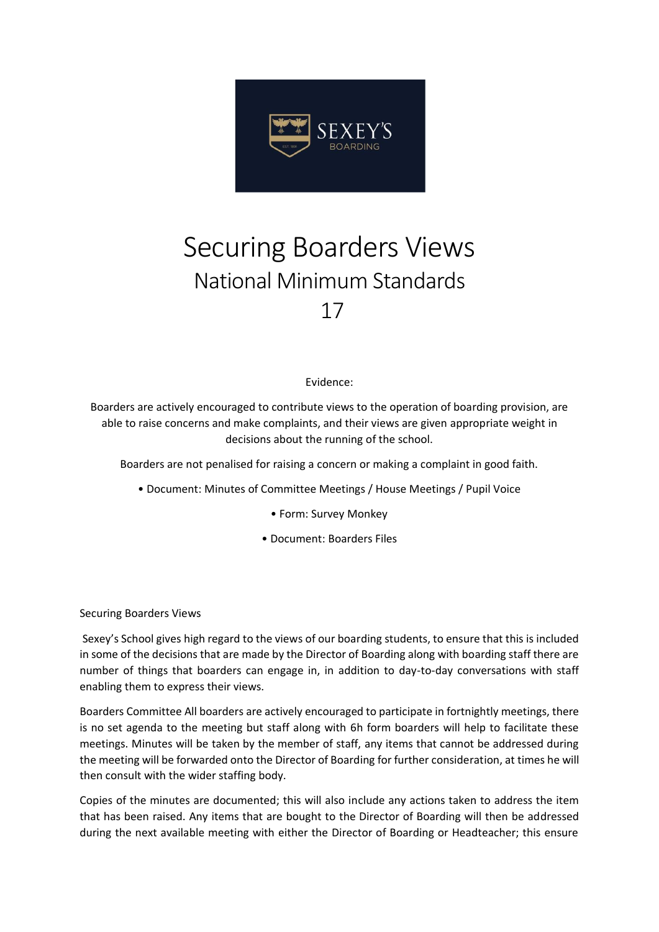![](_page_0_Picture_0.jpeg)

## Securing Boarders Views National Minimum Standards 17

## Evidence:

Boarders are actively encouraged to contribute views to the operation of boarding provision, are able to raise concerns and make complaints, and their views are given appropriate weight in decisions about the running of the school.

Boarders are not penalised for raising a concern or making a complaint in good faith.

- Document: Minutes of Committee Meetings / House Meetings / Pupil Voice
	- Form: Survey Monkey
	- Document: Boarders Files

Securing Boarders Views

Sexey's School gives high regard to the views of our boarding students, to ensure that this is included in some of the decisions that are made by the Director of Boarding along with boarding staff there are number of things that boarders can engage in, in addition to day-to-day conversations with staff enabling them to express their views.

Boarders Committee All boarders are actively encouraged to participate in fortnightly meetings, there is no set agenda to the meeting but staff along with 6h form boarders will help to facilitate these meetings. Minutes will be taken by the member of staff, any items that cannot be addressed during the meeting will be forwarded onto the Director of Boarding for further consideration, at times he will then consult with the wider staffing body.

Copies of the minutes are documented; this will also include any actions taken to address the item that has been raised. Any items that are bought to the Director of Boarding will then be addressed during the next available meeting with either the Director of Boarding or Headteacher; this ensure